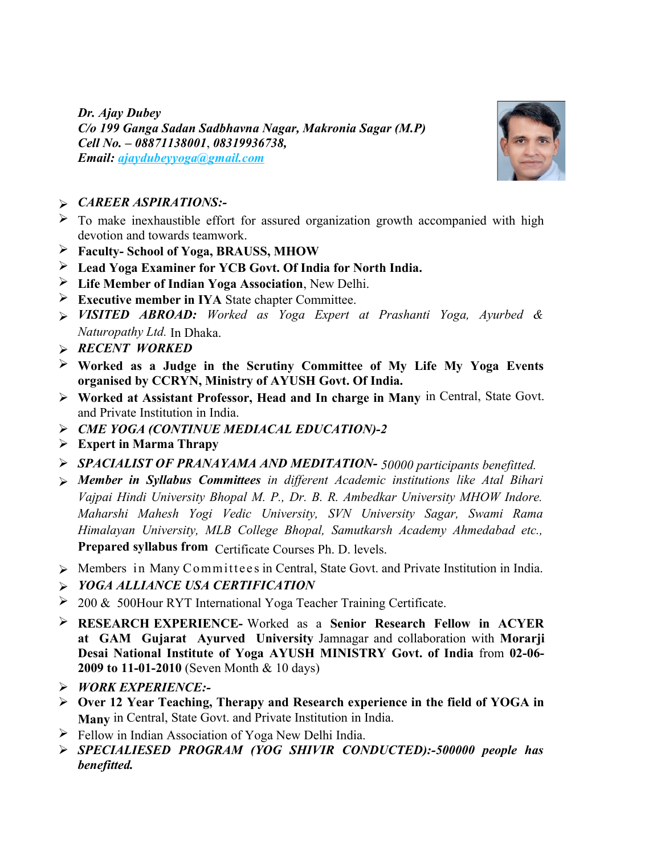*Dr. Ajay Dubey C/o 199 Ganga Sadan Sadbhavna Nagar, Makronia Sagar (M.P) Cell No. – 08871138001*, *08319936738,*   $E$ mail: *ajaydubeyyoga@gmail.com* 



## *CAREER ASPIRATIONS:-*

- $\triangleright$  To make inexhaustible effort for assured organization growth accompanied with high devotion and towards teamwork.
- **Faculty- School of Yoga, BRAUSS, MHOW**
- **Lead Yoga Examiner for YCB Govt. Of India for North India.**
- **Life Member of Indian Yoga Association**, New Delhi.
- **Executive member in IYA** State chapter Committee.
- *VISITED ABROAD: Worked as Yoga Expert at Prashanti Yoga, Ayurbed & Naturopathy Ltd.* In Dhaka.
- *RECENT WORKED*
- **Worked as a Judge in the Scrutiny Committee of My Life My Yoga Events organised by CCRYN, Ministry of AYUSH Govt. Of India.**
- **Worked at Assistant Professor, Head and In charge in Many** in Central, State Govt. and Private Institution in India.
- *CME YOGA (CONTINUE MEDIACAL EDUCATION)-2*
- **Expert in Marma Thrapy**
- *SPACIALIST OF PRANAYAMA AND MEDITATION- 50000 participants benefitted.*
- *Member in Syllabus Committees in different Academic institutions like Atal Bihari Vajpai Hindi University Bhopal M. P., Dr. B. R. Ambedkar University MHOW Indore. Maharshi Mahesh Yogi Vedic University, SVN University Sagar, Swami Rama Himalayan University, MLB College Bhopal, Samutkarsh Academy Ahmedabad etc.,* **Prepared syllabus from** Certificate Courses Ph. D. levels.
- > Members in Many Committees in Central, State Govt. and Private Institution in India.
- *YOGA ALLIANCE USA CERTIFICATION*
- $\geq 200 \& 500$ Hour RYT International Yoga Teacher Training Certificate.
- **RESEARCH EXPERIENCE-** Worked as a **Senior Research Fellow in ACYER at GAM Gujarat Ayurved University** Jamnagar and collaboration with **Morarji Desai National Institute of Yoga AYUSH MINISTRY Govt. of India** from **02-06- 2009 to 11-01-2010** (Seven Month & 10 days)
- *WORK EXPERIENCE:-*
- **Over 12 Year Teaching, Therapy and Research experience in the field of YOGA in Many** in Central, State Govt. and Private Institution in India.
- $\triangleright$  Fellow in Indian Association of Yoga New Delhi India.
- *SPECIALIESED PROGRAM (YOG SHIVIR CONDUCTED):-500000 people has benefitted.*